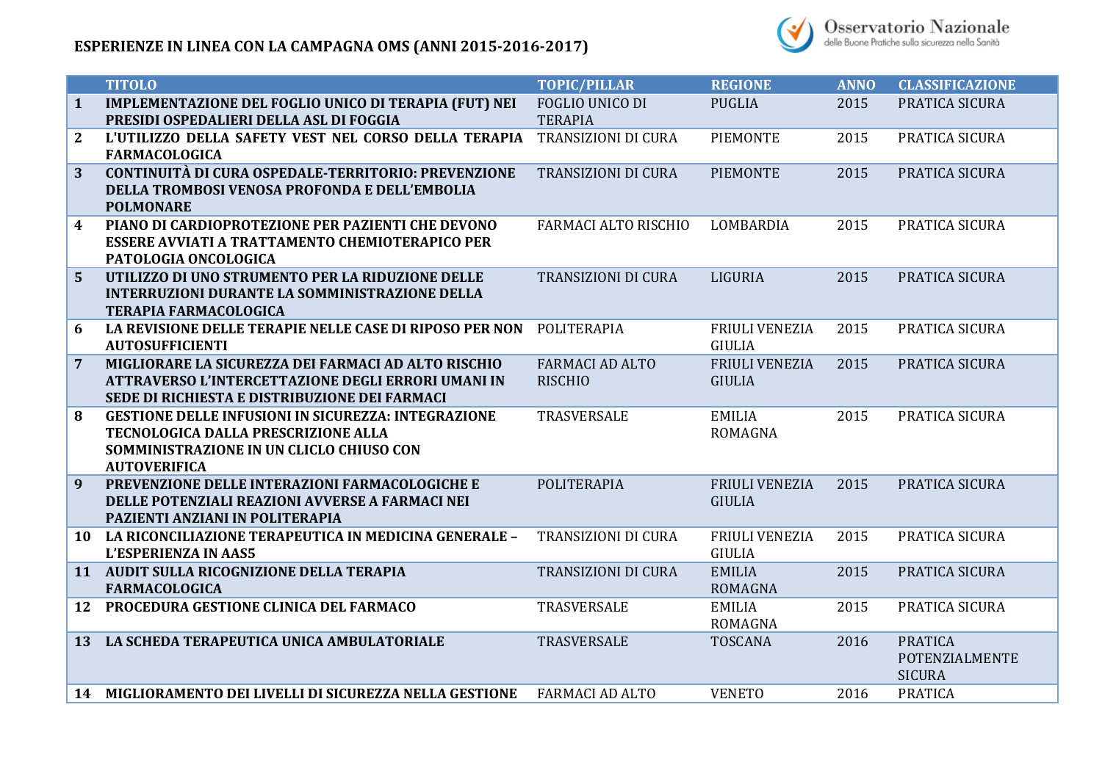

|                | <b>TITOLO</b>                                                                                                                                                        | <b>TOPIC/PILLAR</b>                      | <b>REGIONE</b>                         | <b>ANNO</b> | <b>CLASSIFICAZIONE</b>                            |
|----------------|----------------------------------------------------------------------------------------------------------------------------------------------------------------------|------------------------------------------|----------------------------------------|-------------|---------------------------------------------------|
| $\mathbf{1}$   | <b>IMPLEMENTAZIONE DEL FOGLIO UNICO DI TERAPIA (FUT) NEI</b><br>PRESIDI OSPEDALIERI DELLA ASL DI FOGGIA                                                              | FOGLIO UNICO DI<br><b>TERAPIA</b>        | <b>PUGLIA</b>                          | 2015        | PRATICA SICURA                                    |
| $\mathbf{2}$   | L'UTILIZZO DELLA SAFETY VEST NEL CORSO DELLA TERAPIA<br><b>FARMACOLOGICA</b>                                                                                         | <b>TRANSIZIONI DI CURA</b>               | <b>PIEMONTE</b>                        | 2015        | PRATICA SICURA                                    |
| 3              | CONTINUITÀ DI CURA OSPEDALE-TERRITORIO: PREVENZIONE<br>DELLA TROMBOSI VENOSA PROFONDA E DELL'EMBOLIA<br><b>POLMONARE</b>                                             | <b>TRANSIZIONI DI CURA</b>               | <b>PIEMONTE</b>                        | 2015        | PRATICA SICURA                                    |
| 4              | PIANO DI CARDIOPROTEZIONE PER PAZIENTI CHE DEVONO<br><b>ESSERE AVVIATI A TRATTAMENTO CHEMIOTERAPICO PER</b><br>PATOLOGIA ONCOLOGICA                                  | <b>FARMACI ALTO RISCHIO</b>              | LOMBARDIA                              | 2015        | PRATICA SICURA                                    |
| $\overline{5}$ | UTILIZZO DI UNO STRUMENTO PER LA RIDUZIONE DELLE<br><b>INTERRUZIONI DURANTE LA SOMMINISTRAZIONE DELLA</b><br><b>TERAPIA FARMACOLOGICA</b>                            | <b>TRANSIZIONI DI CURA</b>               | LIGURIA                                | 2015        | PRATICA SICURA                                    |
| 6              | LA REVISIONE DELLE TERAPIE NELLE CASE DI RIPOSO PER NON<br><b>AUTOSUFFICIENTI</b>                                                                                    | POLITERAPIA                              | <b>FRIULI VENEZIA</b><br><b>GIULIA</b> | 2015        | PRATICA SICURA                                    |
| $\overline{7}$ | MIGLIORARE LA SICUREZZA DEI FARMACI AD ALTO RISCHIO<br>ATTRAVERSO L'INTERCETTAZIONE DEGLI ERRORI UMANI IN<br>SEDE DI RICHIESTA E DISTRIBUZIONE DEI FARMACI           | <b>FARMACI AD ALTO</b><br><b>RISCHIO</b> | <b>FRIULI VENEZIA</b><br><b>GIULIA</b> | 2015        | PRATICA SICURA                                    |
| 8              | <b>GESTIONE DELLE INFUSIONI IN SICUREZZA: INTEGRAZIONE</b><br>TECNOLOGICA DALLA PRESCRIZIONE ALLA<br>SOMMINISTRAZIONE IN UN CLICLO CHIUSO CON<br><b>AUTOVERIFICA</b> | TRASVERSALE                              | <b>EMILIA</b><br><b>ROMAGNA</b>        | 2015        | PRATICA SICURA                                    |
| 9              | PREVENZIONE DELLE INTERAZIONI FARMACOLOGICHE E<br>DELLE POTENZIALI REAZIONI AVVERSE A FARMACI NEI<br>PAZIENTI ANZIANI IN POLITERAPIA                                 | POLITERAPIA                              | <b>FRIULI VENEZIA</b><br><b>GIULIA</b> | 2015        | PRATICA SICURA                                    |
|                | 10 LA RICONCILIAZIONE TERAPEUTICA IN MEDICINA GENERALE -<br><b>L'ESPERIENZA IN AAS5</b>                                                                              | TRANSIZIONI DI CURA                      | <b>FRIULI VENEZIA</b><br><b>GIULIA</b> | 2015        | PRATICA SICURA                                    |
|                | 11 AUDIT SULLA RICOGNIZIONE DELLA TERAPIA<br><b>FARMACOLOGICA</b>                                                                                                    | TRANSIZIONI DI CURA                      | <b>EMILIA</b><br><b>ROMAGNA</b>        | 2015        | PRATICA SICURA                                    |
| 12             | PROCEDURA GESTIONE CLINICA DEL FARMACO                                                                                                                               | TRASVERSALE                              | <b>EMILIA</b><br><b>ROMAGNA</b>        | 2015        | PRATICA SICURA                                    |
| 13             | LA SCHEDA TERAPEUTICA UNICA AMBULATORIALE                                                                                                                            | TRASVERSALE                              | <b>TOSCANA</b>                         | 2016        | <b>PRATICA</b><br>POTENZIALMENTE<br><b>SICURA</b> |
|                | 14 MIGLIORAMENTO DEI LIVELLI DI SICUREZZA NELLA GESTIONE                                                                                                             | <b>FARMACI AD ALTO</b>                   | <b>VENETO</b>                          | 2016        | <b>PRATICA</b>                                    |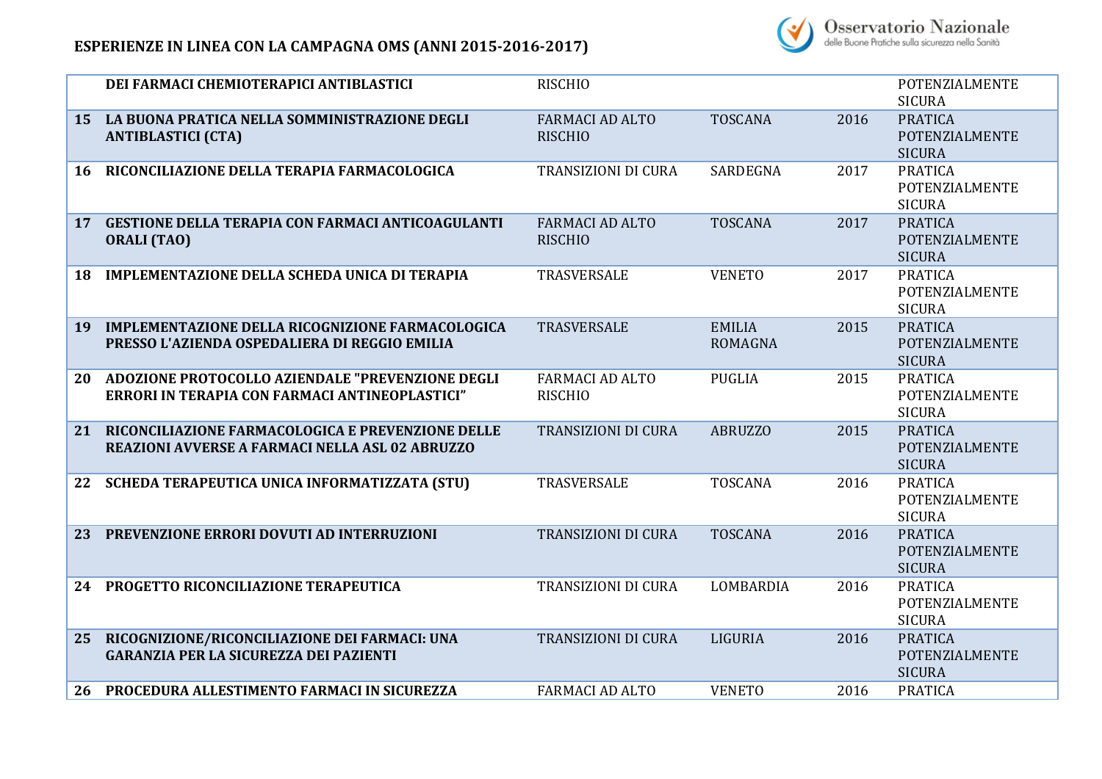## **ESPERIENZE IN LINEA CON LA CAMPAGNA OMS (ANNI 2015-2016-2017)**



|    | DEI FARMACI CHEMIOTERAPICI ANTIBLASTICI                                                                  | <b>RISCHIO</b>                           |                                 |      | POTENZIALMENTE<br><b>SICURA</b>                          |
|----|----------------------------------------------------------------------------------------------------------|------------------------------------------|---------------------------------|------|----------------------------------------------------------|
| 15 | LA BUONA PRATICA NELLA SOMMINISTRAZIONE DEGLI<br><b>ANTIBLASTICI (CTA)</b>                               | <b>FARMACI AD ALTO</b><br><b>RISCHIO</b> | <b>TOSCANA</b>                  | 2016 | <b>PRATICA</b><br><b>POTENZIALMENTE</b><br><b>SICURA</b> |
| 16 | RICONCILIAZIONE DELLA TERAPIA FARMACOLOGICA                                                              | TRANSIZIONI DI CURA                      | <b>SARDEGNA</b>                 | 2017 | <b>PRATICA</b><br>POTENZIALMENTE<br><b>SICURA</b>        |
| 17 | <b>GESTIONE DELLA TERAPIA CON FARMACI ANTICOAGULANTI</b><br><b>ORALI (TAO)</b>                           | <b>FARMACI AD ALTO</b><br><b>RISCHIO</b> | <b>TOSCANA</b>                  | 2017 | <b>PRATICA</b><br>POTENZIALMENTE<br><b>SICURA</b>        |
| 18 | <b>IMPLEMENTAZIONE DELLA SCHEDA UNICA DI TERAPIA</b>                                                     | TRASVERSALE                              | <b>VENETO</b>                   | 2017 | <b>PRATICA</b><br>POTENZIALMENTE<br><b>SICURA</b>        |
| 19 | <b>IMPLEMENTAZIONE DELLA RICOGNIZIONE FARMACOLOGICA</b><br>PRESSO L'AZIENDA OSPEDALIERA DI REGGIO EMILIA | TRASVERSALE                              | <b>EMILIA</b><br><b>ROMAGNA</b> | 2015 | <b>PRATICA</b><br>POTENZIALMENTE<br><b>SICURA</b>        |
| 20 | ADOZIONE PROTOCOLLO AZIENDALE "PREVENZIONE DEGLI<br>ERRORI IN TERAPIA CON FARMACI ANTINEOPLASTICI"       | <b>FARMACI AD ALTO</b><br><b>RISCHIO</b> | <b>PUGLIA</b>                   | 2015 | <b>PRATICA</b><br>POTENZIALMENTE<br><b>SICURA</b>        |
| 21 | RICONCILIAZIONE FARMACOLOGICA E PREVENZIONE DELLE<br>REAZIONI AVVERSE A FARMACI NELLA ASL 02 ABRUZZO     | <b>TRANSIZIONI DI CURA</b>               | <b>ABRUZZO</b>                  | 2015 | <b>PRATICA</b><br>POTENZIALMENTE<br><b>SICURA</b>        |
| 22 | SCHEDA TERAPEUTICA UNICA INFORMATIZZATA (STU)                                                            | TRASVERSALE                              | <b>TOSCANA</b>                  | 2016 | <b>PRATICA</b><br>POTENZIALMENTE<br><b>SICURA</b>        |
| 23 | PREVENZIONE ERRORI DOVUTI AD INTERRUZIONI                                                                | <b>TRANSIZIONI DI CURA</b>               | <b>TOSCANA</b>                  | 2016 | <b>PRATICA</b><br>POTENZIALMENTE<br><b>SICURA</b>        |
| 24 | PROGETTO RICONCILIAZIONE TERAPEUTICA                                                                     | TRANSIZIONI DI CURA                      | LOMBARDIA                       | 2016 | <b>PRATICA</b><br>POTENZIALMENTE<br><b>SICURA</b>        |
| 25 | RICOGNIZIONE/RICONCILIAZIONE DEI FARMACI: UNA<br><b>GARANZIA PER LA SICUREZZA DEI PAZIENTI</b>           | TRANSIZIONI DI CURA                      | LIGURIA                         | 2016 | <b>PRATICA</b><br>POTENZIALMENTE<br><b>SICURA</b>        |
| 26 | PROCEDURA ALLESTIMENTO FARMACI IN SICUREZZA                                                              | <b>FARMACI AD ALTO</b>                   | <b>VENETO</b>                   | 2016 | <b>PRATICA</b>                                           |